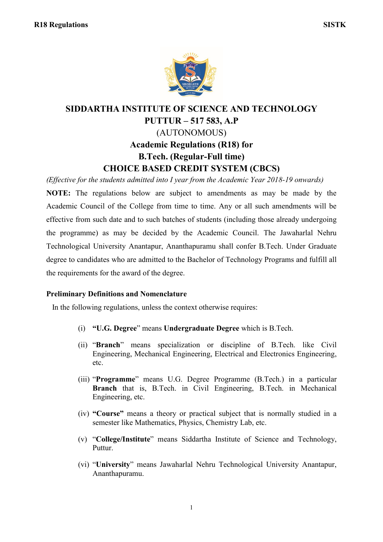

## **SIDDARTHA INSTITUTE OF SCIENCE AND TECHNOLOGY PUTTUR – 517 583, A.P** (AUTONOMOUS) **Academic Regulations (R18) for B.Tech. (Regular-Full time) CHOICE BASED CREDIT SYSTEM (CBCS)**

*(Effective for the students admitted into I year from the Academic Year 2018-19 onwards)* **NOTE:** The regulations below are subject to amendments as may be made by the Academic Council of the College from time to time. Any or all such amendments will be effective from such date and to such batches of students (including those already undergoing the programme) as may be decided by the Academic Council. The Jawaharlal Nehru Technological University Anantapur, Ananthapuramu shall confer B.Tech. Under Graduate degree to candidates who are admitted to the Bachelor of Technology Programs and fulfill all the requirements for the award of the degree.

## **Preliminary Definitions and Nomenclature**

In the following regulations, unless the context otherwise requires:

- (i) **"U.G. Degree**" means **Undergraduate Degree** which is B.Tech.
- (ii) "**Branch**" means specialization or discipline of B.Tech. like Civil Engineering, Mechanical Engineering, Electrical and Electronics Engineering, etc.
- (iii) "**Programme**" means U.G. Degree Programme (B.Tech.) in a particular **Branch** that is, B.Tech. in Civil Engineering, B.Tech. in Mechanical Engineering, etc.
- (iv) **"Course"** means a theory or practical subject that is normally studied in a semester like Mathematics, Physics, Chemistry Lab, etc.
- (v) "**College/Institute**" means Siddartha Institute of Science and Technology, Puttur.
- (vi) "**University**" means Jawaharlal Nehru Technological University Anantapur, Ananthapuramu.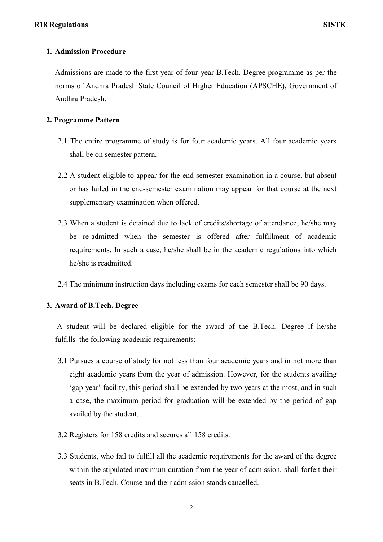## **1. Admission Procedure**

Admissions are made to the first year of four-year B.Tech. Degree programme as per the norms of Andhra Pradesh State Council of Higher Education (APSCHE), Government of Andhra Pradesh.

## **2. Programme Pattern**

- 2.1 The entire programme of study is for four academic years. All four academic years shall be on semester pattern.
- 2.2 A student eligible to appear for the end-semester examination in a course, but absent or has failed in the end-semester examination may appear for that course at the next supplementary examination when offered.
- 2.3 When a student is detained due to lack of credits/shortage of attendance, he/she may be re-admitted when the semester is offered after fulfillment of academic requirements. In such a case, he/she shall be in the academic regulations into which he/she is readmitted.
- 2.4 The minimum instruction days including exams for each semester shall be 90 days.

#### **3. Award of B.Tech. Degree**

A student will be declared eligible for the award of the B.Tech. Degree if he/she fulfills the following academic requirements:

- 3.1 Pursues a course of study for not less than four academic years and in not more than eight academic years from the year of admission. However, for the students availing "gap year" facility, this period shall be extended by two years at the most, and in such a case, the maximum period for graduation will be extended by the period of gap availed by the student.
- 3.2 Registers for 158 credits and secures all 158 credits.
- 3.3 Students, who fail to fulfill all the academic requirements for the award of the degree within the stipulated maximum duration from the year of admission, shall forfeit their seats in B.Tech. Course and their admission stands cancelled.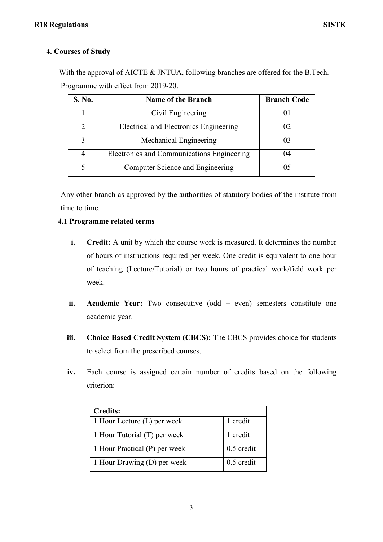## **4. Courses of Study**

With the approval of AICTE & JNTUA, following branches are offered for the B.Tech. Programme with effect from 2019-20.

| S. No.         | <b>Name of the Branch</b>                  | <b>Branch Code</b> |
|----------------|--------------------------------------------|--------------------|
|                | Civil Engineering                          |                    |
| $\mathfrak{D}$ | Electrical and Electronics Engineering     | 02                 |
| 3              | Mechanical Engineering                     | 03                 |
| $\overline{4}$ | Electronics and Communications Engineering | 04                 |
|                | Computer Science and Engineering           |                    |

Any other branch as approved by the authorities of statutory bodies of the institute from time to time.

## **4.1 Programme related terms**

- **i. Credit:** A unit by which the course work is measured. It determines the number of hours of instructions required per week. One credit is equivalent to one hour of teaching (Lecture/Tutorial) or two hours of practical work/field work per week.
- **ii. Academic Year:** Two consecutive (odd + even) semesters constitute one academic year.
- **iii. Choice Based Credit System (CBCS):** The CBCS provides choice for students to select from the prescribed courses.
- **iv.** Each course is assigned certain number of credits based on the following criterion:

| <b>Credits:</b>               |              |
|-------------------------------|--------------|
| 1 Hour Lecture (L) per week   | 1 credit     |
| 1 Hour Tutorial (T) per week  | 1 credit     |
| 1 Hour Practical (P) per week | $0.5$ credit |
| 1 Hour Drawing (D) per week   | $0.5$ credit |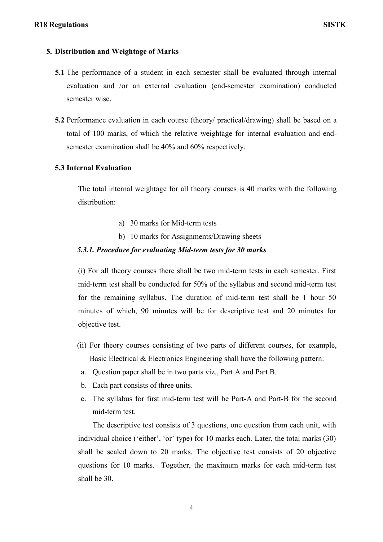## **5. Distribution and Weightage of Marks**

- **5.1** The performance of a student in each semester shall be evaluated through internal evaluation and /or an external evaluation (end-semester examination) conducted semester wise.
- **5.2** Performance evaluation in each course (theory/ practical/drawing) shall be based on a total of 100 marks, of which the relative weightage for internal evaluation and endsemester examination shall be 40% and 60% respectively.

## **5.3 Internal Evaluation**

The total internal weightage for all theory courses is 40 marks with the following distribution:

- a) 30 marks for Mid-term tests
- b) 10 marks for Assignments/Drawing sheets

## *5.3.1. Procedure for evaluating Mid-term tests for 30 marks*

(i) For all theory courses there shall be two mid-term tests in each semester. First mid-term test shall be conducted for 50% of the syllabus and second mid-term test for the remaining syllabus. The duration of mid-term test shall be 1 hour 50 minutes of which, 90 minutes will be for descriptive test and 20 minutes for objective test.

- (ii) For theory courses consisting of two parts of different courses, for example, Basic Electrical & Electronics Engineering shall have the following pattern:
- a. Question paper shall be in two parts viz., Part A and Part B.
- b. Each part consists of three units.
- c. The syllabus for first mid-term test will be Part-A and Part-B for the second mid-term test.

The descriptive test consists of 3 questions, one question from each unit, with individual choice ('either', 'or' type) for 10 marks each. Later, the total marks (30) shall be scaled down to 20 marks. The objective test consists of 20 objective questions for 10 marks. Together, the maximum marks for each mid-term test shall be 30.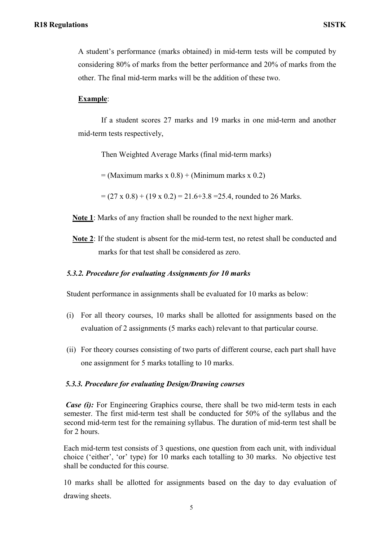A student"s performance (marks obtained) in mid-term tests will be computed by considering 80% of marks from the better performance and 20% of marks from the other. The final mid-term marks will be the addition of these two.

## **Example**:

If a student scores 27 marks and 19 marks in one mid-term and another mid-term tests respectively,

Then Weighted Average Marks (final mid-term marks)

 $=$  (Maximum marks x 0.8) + (Minimum marks x 0.2)

 $=(27 \times 0.8) + (19 \times 0.2) = 21.6 + 3.8 = 25.4$ , rounded to 26 Marks.

**Note 1**: Marks of any fraction shall be rounded to the next higher mark.

**Note 2**: If the student is absent for the mid-term test, no retest shall be conducted and marks for that test shall be considered as zero.

#### *5.3.2. Procedure for evaluating Assignments for 10 marks*

Student performance in assignments shall be evaluated for 10 marks as below:

- (i) For all theory courses, 10 marks shall be allotted for assignments based on the evaluation of 2 assignments (5 marks each) relevant to that particular course.
- (ii) For theory courses consisting of two parts of different course, each part shall have one assignment for 5 marks totalling to 10 marks.

## *5.3.3. Procedure for evaluating Design/Drawing courses*

*Case (i)*: For Engineering Graphics course, there shall be two mid-term tests in each semester. The first mid-term test shall be conducted for 50% of the syllabus and the second mid-term test for the remaining syllabus. The duration of mid-term test shall be for 2 hours.

Each mid-term test consists of 3 questions, one question from each unit, with individual choice ("either", "or" type) for 10 marks each totalling to 30 marks. No objective test shall be conducted for this course.

10 marks shall be allotted for assignments based on the day to day evaluation of drawing sheets.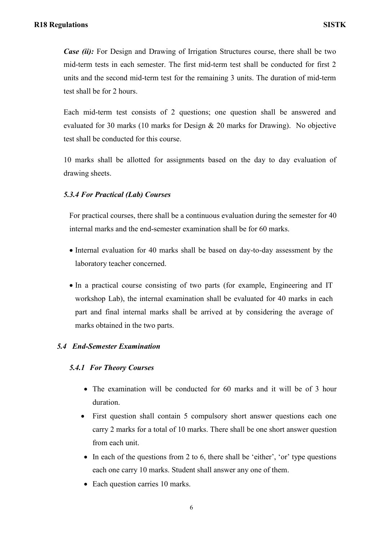*Case (ii):* For Design and Drawing of Irrigation Structures course, there shall be two mid-term tests in each semester. The first mid-term test shall be conducted for first 2 units and the second mid-term test for the remaining 3 units. The duration of mid-term test shall be for 2 hours.

Each mid-term test consists of 2 questions; one question shall be answered and evaluated for 30 marks (10 marks for Design  $& 20$  marks for Drawing). No objective test shall be conducted for this course.

10 marks shall be allotted for assignments based on the day to day evaluation of drawing sheets.

## *5.3.4 For Practical (Lab) Courses*

For practical courses, there shall be a continuous evaluation during the semester for 40 internal marks and the end-semester examination shall be for 60 marks.

- Internal evaluation for 40 marks shall be based on day-to-day assessment by the laboratory teacher concerned.
- In a practical course consisting of two parts (for example, Engineering and IT workshop Lab), the internal examination shall be evaluated for 40 marks in each part and final internal marks shall be arrived at by considering the average of marks obtained in the two parts.

## *5.4 End-Semester Examination*

## *5.4.1 For Theory Courses*

- The examination will be conducted for 60 marks and it will be of 3 hour duration.
- First question shall contain 5 compulsory short answer questions each one carry 2 marks for a total of 10 marks. There shall be one short answer question from each unit.
- $\bullet$  In each of the questions from 2 to 6, there shall be 'either', 'or' type questions each one carry 10 marks. Student shall answer any one of them.
- Each question carries 10 marks.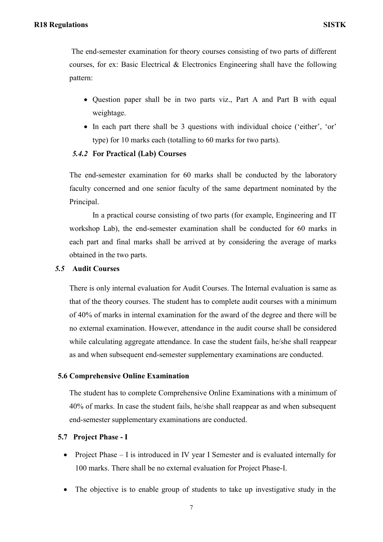The end-semester examination for theory courses consisting of two parts of different courses, for ex: Basic Electrical & Electronics Engineering shall have the following pattern:

- Question paper shall be in two parts viz., Part A and Part B with equal weightage.
- In each part there shall be 3 questions with individual choice ('either', 'or' type) for 10 marks each (totalling to 60 marks for two parts).

## *5.4.2* **For Practical (Lab) Courses**

The end-semester examination for 60 marks shall be conducted by the laboratory faculty concerned and one senior faculty of the same department nominated by the Principal.

In a practical course consisting of two parts (for example, Engineering and IT workshop Lab), the end-semester examination shall be conducted for 60 marks in each part and final marks shall be arrived at by considering the average of marks obtained in the two parts.

#### *5.5* **Audit Courses**

There is only internal evaluation for Audit Courses. The Internal evaluation is same as that of the theory courses. The student has to complete audit courses with a minimum of 40% of marks in internal examination for the award of the degree and there will be no external examination. However, attendance in the audit course shall be considered while calculating aggregate attendance. In case the student fails, he/she shall reappear as and when subsequent end-semester supplementary examinations are conducted.

## **5.6 Comprehensive Online Examination**

The student has to complete Comprehensive Online Examinations with a minimum of 40% of marks. In case the student fails, he/she shall reappear as and when subsequent end-semester supplementary examinations are conducted.

## **5.7 Project Phase - I**

- Project Phase I is introduced in IV year I Semester and is evaluated internally for 100 marks. There shall be no external evaluation for Project Phase-I.
- The objective is to enable group of students to take up investigative study in the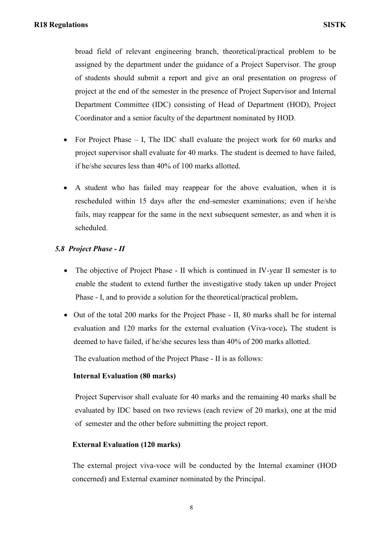broad field of relevant engineering branch, theoretical/practical problem to be assigned by the department under the guidance of a Project Supervisor. The group of students should submit a report and give an oral presentation on progress of project at the end of the semester in the presence of Project Supervisor and Internal Department Committee (IDC) consisting of Head of Department (HOD), Project Coordinator and a senior faculty of the department nominated by HOD.

- For Project Phase  $I$ , The IDC shall evaluate the project work for 60 marks and project supervisor shall evaluate for 40 marks. The student is deemed to have failed, if he/she secures less than 40% of 100 marks allotted.
- A student who has failed may reappear for the above evaluation, when it is rescheduled within 15 days after the end-semester examinations; even if he/she fails, may reappear for the same in the next subsequent semester, as and when it is scheduled.

## *5.8 Project Phase - II*

- The objective of Project Phase II which is continued in IV-year II semester is to enable the student to extend further the investigative study taken up under Project Phase - I, and to provide a solution for the theoretical/practical problem**.**
- Out of the total 200 marks for the Project Phase II, 80 marks shall be for internal evaluation and 120 marks for the external evaluation (Viva-voce)**.** The student is deemed to have failed, if he/she secures less than 40% of 200 marks allotted.

The evaluation method of the Project Phase - II is as follows:

## **Internal Evaluation (80 marks)**

Project Supervisor shall evaluate for 40 marks and the remaining 40 marks shall be evaluated by IDC based on two reviews (each review of 20 marks), one at the mid of semester and the other before submitting the project report.

## **External Evaluation (120 marks)**

The external project viva-voce will be conducted by the Internal examiner (HOD concerned) and External examiner nominated by the Principal.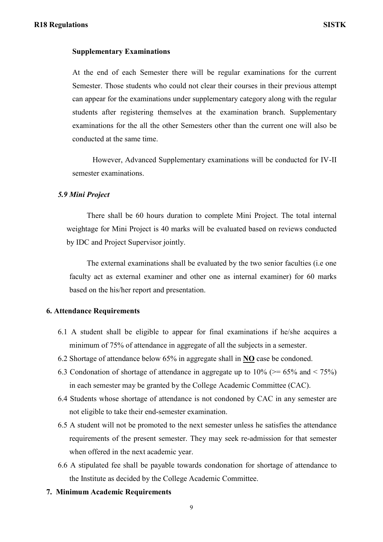#### **Supplementary Examinations**

At the end of each Semester there will be regular examinations for the current Semester. Those students who could not clear their courses in their previous attempt can appear for the examinations under supplementary category along with the regular students after registering themselves at the examination branch. Supplementary examinations for the all the other Semesters other than the current one will also be conducted at the same time.

However, Advanced Supplementary examinations will be conducted for IV-II semester examinations.

#### *5.9 Mini Project*

There shall be 60 hours duration to complete Mini Project. The total internal weightage for Mini Project is 40 marks will be evaluated based on reviews conducted by IDC and Project Supervisor jointly.

The external examinations shall be evaluated by the two senior faculties (i.e one faculty act as external examiner and other one as internal examiner) for 60 marks based on the his/her report and presentation.

#### **6. Attendance Requirements**

- 6.1 A student shall be eligible to appear for final examinations if he/she acquires a minimum of 75% of attendance in aggregate of all the subjects in a semester.
- 6.2 Shortage of attendance below 65% in aggregate shall in **NO** case be condoned.
- 6.3 Condonation of shortage of attendance in aggregate up to  $10\%$  ( $\geq 65\%$  and  $\leq 75\%$ ) in each semester may be granted by the College Academic Committee (CAC).
- 6.4 Students whose shortage of attendance is not condoned by CAC in any semester are not eligible to take their end-semester examination.
- 6.5 A student will not be promoted to the next semester unless he satisfies the attendance requirements of the present semester. They may seek re-admission for that semester when offered in the next academic year.
- 6.6 A stipulated fee shall be payable towards condonation for shortage of attendance to the Institute as decided by the College Academic Committee.
- **7. Minimum Academic Requirements**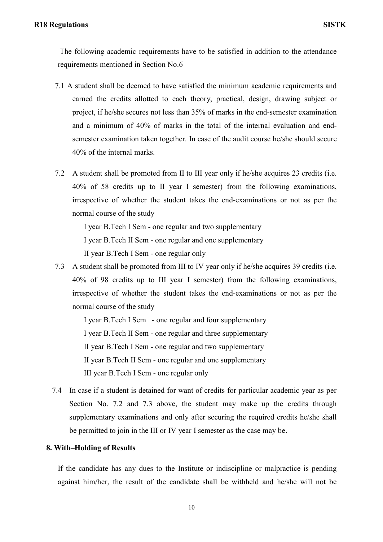## **R18 Regulations SISTK**

The following academic requirements have to be satisfied in addition to the attendance requirements mentioned in Section No.6

- 7.1 A student shall be deemed to have satisfied the minimum academic requirements and earned the credits allotted to each theory, practical, design, drawing subject or project, if he/she secures not less than 35% of marks in the end-semester examination and a minimum of 40% of marks in the total of the internal evaluation and endsemester examination taken together. In case of the audit course he/she should secure 40% of the internal marks.
- 7.2 A student shall be promoted from II to III year only if he/she acquires 23 credits (i.e. 40% of 58 credits up to II year I semester) from the following examinations, irrespective of whether the student takes the end-examinations or not as per the normal course of the study

I year B.Tech I Sem - one regular and two supplementary I year B.Tech II Sem - one regular and one supplementary

II year B.Tech I Sem - one regular only

7.3 A student shall be promoted from III to IV year only if he/she acquires 39 credits (i.e. 40% of 98 credits up to III year I semester) from the following examinations, irrespective of whether the student takes the end-examinations or not as per the normal course of the study

I year B.Tech I Sem - one regular and four supplementary I year B.Tech II Sem - one regular and three supplementary II year B.Tech I Sem - one regular and two supplementary II year B.Tech II Sem - one regular and one supplementary III year B.Tech I Sem - one regular only

 7.4 In case if a student is detained for want of credits for particular academic year as per Section No. 7.2 and 7.3 above, the student may make up the credits through supplementary examinations and only after securing the required credits he/she shall be permitted to join in the III or IV year I semester as the case may be.

#### **8. With–Holding of Results**

If the candidate has any dues to the Institute or indiscipline or malpractice is pending against him/her, the result of the candidate shall be withheld and he/she will not be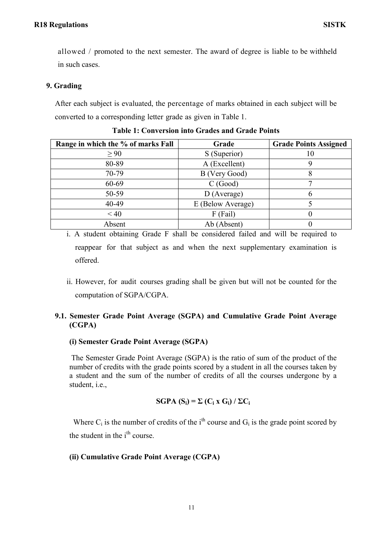allowed / promoted to the next semester. The award of degree is liable to be withheld in such cases.

## **9. Grading**

After each subject is evaluated, the percentage of marks obtained in each subject will be converted to a corresponding letter grade as given in Table 1.

| Range in which the % of marks Fall | Grade             | <b>Grade Points Assigned</b> |
|------------------------------------|-------------------|------------------------------|
| $\geq 90$                          | S (Superior)      | 10                           |
| 80-89                              | A (Excellent)     | g                            |
| 70-79                              | B (Very Good)     | 8                            |
| 60-69                              | C(Good)           |                              |
| 50-59                              | $D$ (Average)     | b                            |
| 40-49                              | E (Below Average) |                              |
| < 40                               | $F$ (Fail)        |                              |
| Absent                             | Ab (Absent)       |                              |

**Table 1: Conversion into Grades and Grade Points** 

i. A student obtaining Grade F shall be considered failed and will be required to reappear for that subject as and when the next supplementary examination is offered.

ii. However, for audit courses grading shall be given but will not be counted for the computation of SGPA/CGPA.

## **9.1. Semester Grade Point Average (SGPA) and Cumulative Grade Point Average (CGPA)**

## **(i) Semester Grade Point Average (SGPA)**

The Semester Grade Point Average (SGPA) is the ratio of sum of the product of the number of credits with the grade points scored by a student in all the courses taken by a student and the sum of the number of credits of all the courses undergone by a student, i.e.,

## $SGPA(S_i) = \sum (C_i \times G_i) / \sum C_i$

Where  $C_i$  is the number of credits of the i<sup>th</sup> course and  $G_i$  is the grade point scored by the student in the i<sup>th</sup> course.

## **(ii) Cumulative Grade Point Average (CGPA)**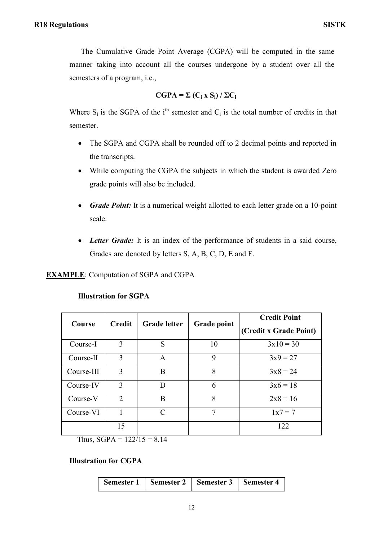The Cumulative Grade Point Average (CGPA) will be computed in the same manner taking into account all the courses undergone by a student over all the semesters of a program, i.e.,

$$
CGPA = \Sigma (C_i X S_i) / \Sigma C_i
$$

Where  $S_i$  is the SGPA of the i<sup>th</sup> semester and  $C_i$  is the total number of credits in that semester.

- The SGPA and CGPA shall be rounded off to 2 decimal points and reported in the transcripts.
- While computing the CGPA the subjects in which the student is awarded Zero grade points will also be included.
- *Grade Point:* It is a numerical weight allotted to each letter grade on a 10-point scale.
- *Letter Grade:* It is an index of the performance of students in a said course, Grades are denoted by letters S, A, B, C, D, E and F.

## **EXAMPLE**: Computation of SGPA and CGPA

| Course     | <b>Credit</b>  | <b>Grade letter</b> | <b>Grade point</b> | <b>Credit Point</b><br>(Credit x Grade Point) |
|------------|----------------|---------------------|--------------------|-----------------------------------------------|
| Course-I   | 3              | S                   | 10                 | $3x10 = 30$                                   |
| Course-II  | 3              | $\mathsf{A}$        | 9                  | $3x9 = 27$                                    |
| Course-III | 3              | B                   | 8                  | $3x8 = 24$                                    |
| Course-IV  | 3              | D                   | 6                  | $3x6 = 18$                                    |
| Course-V   | $\overline{2}$ | B                   | 8                  | $2x8 = 16$                                    |
| Course-VI  |                | $\subset$           | 7                  | $1x7 = 7$                                     |
|            | 15             |                     |                    | 122                                           |

## **Illustration for SGPA**

Thus,  $SGPA = 122/15 = 8.14$ 

## **Illustration for CGPA**

| Semester 1 | <b>Semester 2</b> | Semester 3 | <b>Semester 4</b> |
|------------|-------------------|------------|-------------------|
|------------|-------------------|------------|-------------------|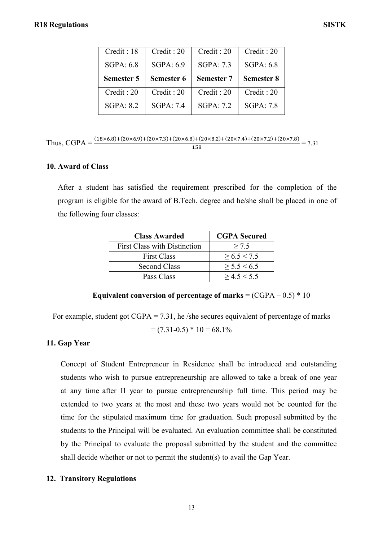| Credit: 18 | Credit: 20 | Credit: 20        | Credit: 20        |
|------------|------------|-------------------|-------------------|
| SGPA: 6.8  | SGPA: 6.9  | SGPA: 7.3         | SGPA: 6.8         |
|            |            |                   |                   |
| Semester 5 | Semester 6 | <b>Semester 7</b> | <b>Semester 8</b> |
| Credit: 20 | Credit: 20 | Credit: 20        | Credit: 20        |

# Thus, CGPA =  $\frac{(18\times6.8)+(20\times6.9)+(20\times7.3)+(20\times6.8)+(20\times8.2)+(20\times7.4)+(20\times7.2)+(20\times7.2)}{158} = 7.31$

## **10. Award of Class**

After a student has satisfied the requirement prescribed for the completion of the program is eligible for the award of B.Tech. degree and he/she shall be placed in one of the following four classes:

| <b>Class Awarded</b>                | <b>CGPA</b> Secured |
|-------------------------------------|---------------------|
| <b>First Class with Distinction</b> | > 7.5               |
| <b>First Class</b>                  | > 6.5 < 7.5         |
| <b>Second Class</b>                 | > 5.5 < 6.5         |
| Pass Class                          | > 4.5 < 5.5         |

## **Equivalent conversion of percentage of marks** = (CGPA – 0.5) \* 10

For example, student got  $CGPA = 7.31$ , he /she secures equivalent of percentage of marks

$$
= (7.31 - 0.5) * 10 = 68.1\%
$$

## **11. Gap Year**

Concept of Student Entrepreneur in Residence shall be introduced and outstanding students who wish to pursue entrepreneurship are allowed to take a break of one year at any time after II year to pursue entrepreneurship full time. This period may be extended to two years at the most and these two years would not be counted for the time for the stipulated maximum time for graduation. Such proposal submitted by the students to the Principal will be evaluated. An evaluation committee shall be constituted by the Principal to evaluate the proposal submitted by the student and the committee shall decide whether or not to permit the student(s) to avail the Gap Year.

## **12. Transitory Regulations**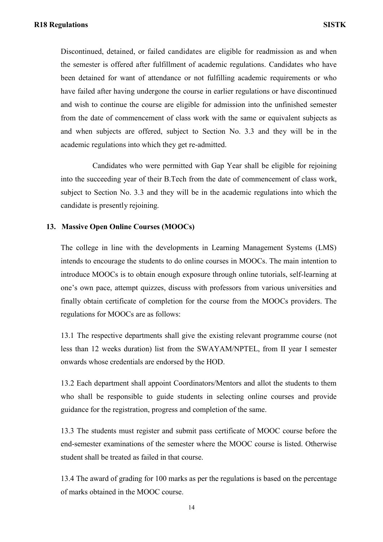Discontinued, detained, or failed candidates are eligible for readmission as and when the semester is offered after fulfillment of academic regulations. Candidates who have been detained for want of attendance or not fulfilling academic requirements or who have failed after having undergone the course in earlier regulations or have discontinued and wish to continue the course are eligible for admission into the unfinished semester from the date of commencement of class work with the same or equivalent subjects as and when subjects are offered, subject to Section No. 3.3 and they will be in the academic regulations into which they get re-admitted.

Candidates who were permitted with Gap Year shall be eligible for rejoining into the succeeding year of their B.Tech from the date of commencement of class work, subject to Section No. 3.3 and they will be in the academic regulations into which the candidate is presently rejoining.

#### **13. Massive Open Online Courses (MOOCs)**

The college in line with the developments in Learning Management Systems (LMS) intends to encourage the students to do online courses in MOOCs. The main intention to introduce MOOCs is to obtain enough exposure through online tutorials, self-learning at one"s own pace, attempt quizzes, discuss with professors from various universities and finally obtain certificate of completion for the course from the MOOCs providers. The regulations for MOOCs are as follows:

13.1 The respective departments shall give the existing relevant programme course (not less than 12 weeks duration) list from the SWAYAM/NPTEL, from II year I semester onwards whose credentials are endorsed by the HOD.

13.2 Each department shall appoint Coordinators/Mentors and allot the students to them who shall be responsible to guide students in selecting online courses and provide guidance for the registration, progress and completion of the same.

13.3 The students must register and submit pass certificate of MOOC course before the end-semester examinations of the semester where the MOOC course is listed. Otherwise student shall be treated as failed in that course.

13.4 The award of grading for 100 marks as per the regulations is based on the percentage of marks obtained in the MOOC course.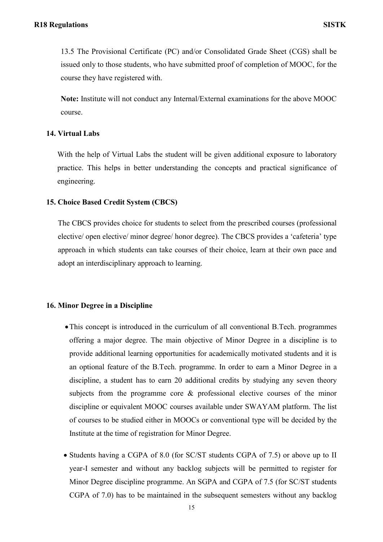13.5 The Provisional Certificate (PC) and/or Consolidated Grade Sheet (CGS) shall be issued only to those students, who have submitted proof of completion of MOOC, for the course they have registered with.

**Note:** Institute will not conduct any Internal/External examinations for the above MOOC course.

#### **14. Virtual Labs**

With the help of Virtual Labs the student will be given additional exposure to laboratory practice. This helps in better understanding the concepts and practical significance of engineering.

#### **15. Choice Based Credit System (CBCS)**

The CBCS provides choice for students to select from the prescribed courses (professional elective/ open elective/ minor degree/ honor degree). The CBCS provides a "cafeteria" type approach in which students can take courses of their choice, learn at their own pace and adopt an interdisciplinary approach to learning.

#### **16. Minor Degree in a Discipline**

- This concept is introduced in the curriculum of all conventional B.Tech. programmes offering a major degree. The main objective of Minor Degree in a discipline is to provide additional learning opportunities for academically motivated students and it is an optional feature of the B.Tech. programme. In order to earn a Minor Degree in a discipline, a student has to earn 20 additional credits by studying any seven theory subjects from the programme core & professional elective courses of the minor discipline or equivalent MOOC courses available under SWAYAM platform. The list of courses to be studied either in MOOCs or conventional type will be decided by the Institute at the time of registration for Minor Degree.
- Students having a CGPA of 8.0 (for SC/ST students CGPA of 7.5) or above up to II year-I semester and without any backlog subjects will be permitted to register for Minor Degree discipline programme. An SGPA and CGPA of 7.5 (for SC/ST students CGPA of 7.0) has to be maintained in the subsequent semesters without any backlog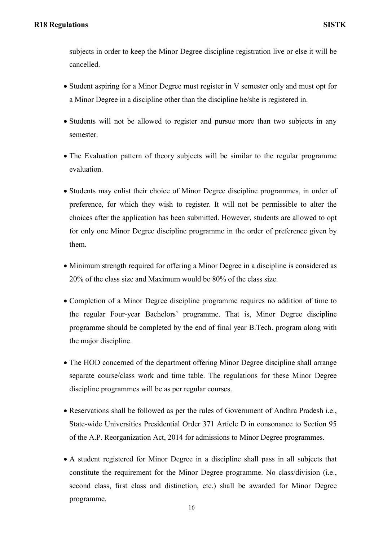subjects in order to keep the Minor Degree discipline registration live or else it will be cancelled.

- Student aspiring for a Minor Degree must register in V semester only and must opt for a Minor Degree in a discipline other than the discipline he/she is registered in.
- Students will not be allowed to register and pursue more than two subjects in any semester.
- The Evaluation pattern of theory subjects will be similar to the regular programme evaluation.
- Students may enlist their choice of Minor Degree discipline programmes, in order of preference, for which they wish to register. It will not be permissible to alter the choices after the application has been submitted. However, students are allowed to opt for only one Minor Degree discipline programme in the order of preference given by them.
- Minimum strength required for offering a Minor Degree in a discipline is considered as 20% of the class size and Maximum would be 80% of the class size.
- Completion of a Minor Degree discipline programme requires no addition of time to the regular Four-year Bachelors" programme. That is, Minor Degree discipline programme should be completed by the end of final year B.Tech. program along with the major discipline.
- The HOD concerned of the department offering Minor Degree discipline shall arrange separate course/class work and time table. The regulations for these Minor Degree discipline programmes will be as per regular courses.
- Reservations shall be followed as per the rules of Government of Andhra Pradesh i.e., State-wide Universities Presidential Order 371 Article D in consonance to Section 95 of the A.P. Reorganization Act, 2014 for admissions to Minor Degree programmes.
- A student registered for Minor Degree in a discipline shall pass in all subjects that constitute the requirement for the Minor Degree programme. No class/division (i.e., second class, first class and distinction, etc.) shall be awarded for Minor Degree programme.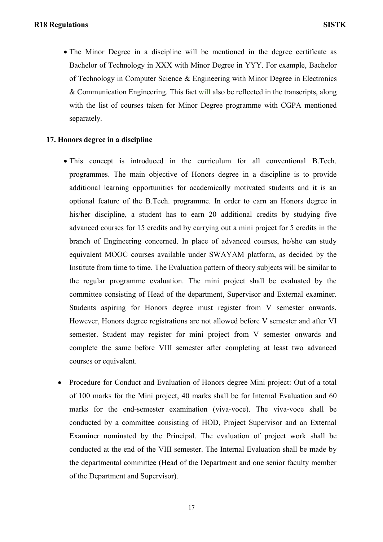The Minor Degree in a discipline will be mentioned in the degree certificate as Bachelor of Technology in XXX with Minor Degree in YYY. For example, Bachelor of Technology in Computer Science & Engineering with Minor Degree in Electronics & Communication Engineering. This fact will also be reflected in the transcripts, along with the list of courses taken for Minor Degree programme with CGPA mentioned separately.

## **17. Honors degree in a discipline**

- This concept is introduced in the curriculum for all conventional B.Tech. programmes. The main objective of Honors degree in a discipline is to provide additional learning opportunities for academically motivated students and it is an optional feature of the B.Tech. programme. In order to earn an Honors degree in his/her discipline, a student has to earn 20 additional credits by studying five advanced courses for 15 credits and by carrying out a mini project for 5 credits in the branch of Engineering concerned. In place of advanced courses, he/she can study equivalent MOOC courses available under SWAYAM platform, as decided by the Institute from time to time. The Evaluation pattern of theory subjects will be similar to the regular programme evaluation. The mini project shall be evaluated by the committee consisting of Head of the department, Supervisor and External examiner. Students aspiring for Honors degree must register from V semester onwards. However, Honors degree registrations are not allowed before V semester and after VI semester. Student may register for mini project from V semester onwards and complete the same before VIII semester after completing at least two advanced courses or equivalent.
- Procedure for Conduct and Evaluation of Honors degree Mini project: Out of a total of 100 marks for the Mini project, 40 marks shall be for Internal Evaluation and 60 marks for the end-semester examination (viva-voce). The viva-voce shall be conducted by a committee consisting of HOD, Project Supervisor and an External Examiner nominated by the Principal. The evaluation of project work shall be conducted at the end of the VIII semester. The Internal Evaluation shall be made by the departmental committee (Head of the Department and one senior faculty member of the Department and Supervisor).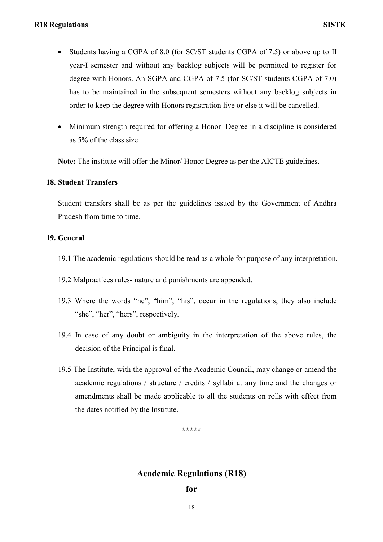- Students having a CGPA of 8.0 (for SC/ST students CGPA of 7.5) or above up to II year-I semester and without any backlog subjects will be permitted to register for degree with Honors. An SGPA and CGPA of 7.5 (for SC/ST students CGPA of 7.0) has to be maintained in the subsequent semesters without any backlog subjects in order to keep the degree with Honors registration live or else it will be cancelled.
- Minimum strength required for offering a Honor Degree in a discipline is considered as 5% of the class size

**Note:** The institute will offer the Minor/ Honor Degree as per the AICTE guidelines.

## **18. Student Transfers**

Student transfers shall be as per the guidelines issued by the Government of Andhra Pradesh from time to time.

## **19. General**

- 19.1 The academic regulations should be read as a whole for purpose of any interpretation.
- 19.2 Malpractices rules- nature and punishments are appended.
- 19.3 Where the words "he", "him", "his", occur in the regulations, they also include "she", "her", "hers", respectively.
- 19.4 In case of any doubt or ambiguity in the interpretation of the above rules, the decision of the Principal is final.
- 19.5 The Institute, with the approval of the Academic Council, may change or amend the academic regulations / structure / credits / syllabi at any time and the changes or amendments shall be made applicable to all the students on rolls with effect from the dates notified by the Institute.

**\*\*\*\*\***

## **Academic Regulations (R18)**

**for**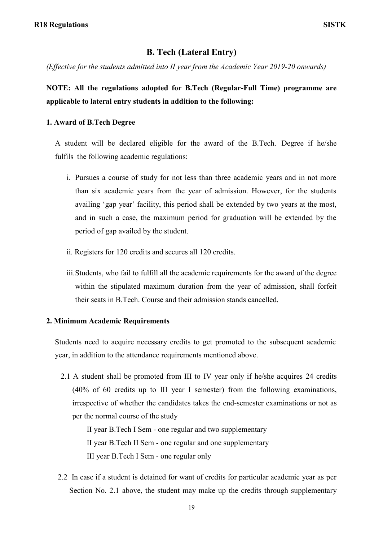## **B. Tech (Lateral Entry)**

*(Effective for the students admitted into II year from the Academic Year 2019-20 onwards)*

## **NOTE: All the regulations adopted for B.Tech (Regular-Full Time) programme are applicable to lateral entry students in addition to the following:**

#### **1. Award of B.Tech Degree**

A student will be declared eligible for the award of the B.Tech. Degree if he/she fulfils the following academic regulations:

- i. Pursues a course of study for not less than three academic years and in not more than six academic years from the year of admission. However, for the students availing "gap year" facility, this period shall be extended by two years at the most, and in such a case, the maximum period for graduation will be extended by the period of gap availed by the student.
- ii. Registers for 120 credits and secures all 120 credits.
- iii.Students, who fail to fulfill all the academic requirements for the award of the degree within the stipulated maximum duration from the year of admission, shall forfeit their seats in B.Tech. Course and their admission stands cancelled.

#### **2. Minimum Academic Requirements**

Students need to acquire necessary credits to get promoted to the subsequent academic year, in addition to the attendance requirements mentioned above.

2.1 A student shall be promoted from III to IV year only if he/she acquires 24 credits (40% of 60 credits up to III year I semester) from the following examinations, irrespective of whether the candidates takes the end-semester examinations or not as per the normal course of the study

II year B.Tech I Sem - one regular and two supplementary II year B.Tech II Sem - one regular and one supplementary III year B.Tech I Sem - one regular only

2.2 In case if a student is detained for want of credits for particular academic year as per Section No. 2.1 above, the student may make up the credits through supplementary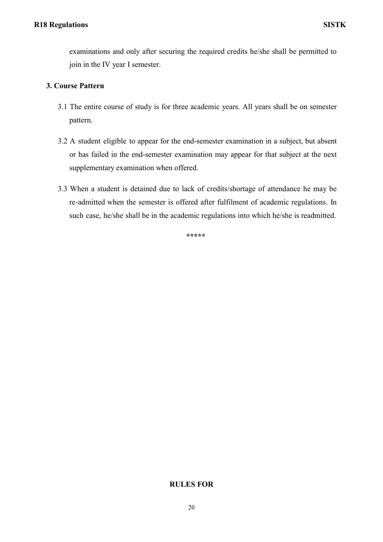examinations and only after securing the required credits he/she shall be permitted to join in the IV year I semester.

## **3. Course Pattern**

- 3.1 The entire course of study is for three academic years. All years shall be on semester pattern.
- 3.2 A student eligible to appear for the end-semester examination in a subject, but absent or has failed in the end-semester examination may appear for that subject at the next supplementary examination when offered.
- 3.3 When a student is detained due to lack of credits/shortage of attendance he may be re-admitted when the semester is offered after fulfilment of academic regulations. In such case, he/she shall be in the academic regulations into which he/she is readmitted.

**\*\*\*\*\***

## **RULES FOR**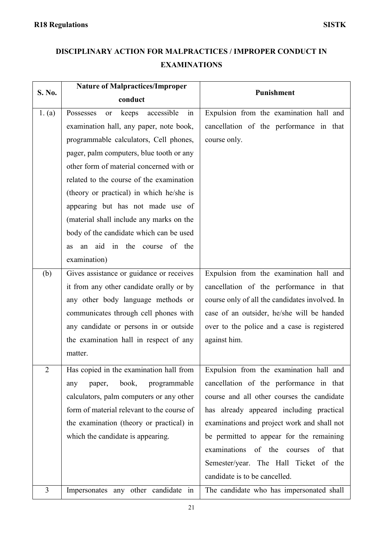# **DISCIPLINARY ACTION FOR MALPRACTICES / IMPROPER CONDUCT IN EXAMINATIONS**

| S. No.                      | <b>Nature of Malpractices/Improper</b>        | Punishment                                     |
|-----------------------------|-----------------------------------------------|------------------------------------------------|
|                             | conduct                                       |                                                |
| 1. (a)                      | accessible<br>Possesses<br>keeps<br>in<br>or  | Expulsion from the examination hall and        |
|                             | examination hall, any paper, note book,       | cancellation of the performance in that        |
|                             | programmable calculators, Cell phones,        | course only.                                   |
|                             | pager, palm computers, blue tooth or any      |                                                |
|                             | other form of material concerned with or      |                                                |
|                             | related to the course of the examination      |                                                |
|                             | (theory or practical) in which he/she is      |                                                |
|                             | appearing but has not made use of             |                                                |
|                             | (material shall include any marks on the      |                                                |
|                             | body of the candidate which can be used       |                                                |
|                             | aid<br>the course<br>of the<br>in<br>an<br>as |                                                |
|                             | examination)                                  |                                                |
| (b)                         | Gives assistance or guidance or receives      | Expulsion from the examination hall and        |
|                             | it from any other candidate orally or by      | cancellation of the performance in that        |
|                             | any other body language methods or            | course only of all the candidates involved. In |
|                             | communicates through cell phones with         | case of an outsider, he/she will be handed     |
|                             | any candidate or persons in or outside        | over to the police and a case is registered    |
|                             | the examination hall in respect of any        | against him.                                   |
|                             | matter.                                       |                                                |
| $\mathcal{D}_{\mathcal{L}}$ | Has copied in the examination hall from       | Expulsion from the examination hall and        |
|                             | book,<br>programmable<br>paper,<br>any        | cancellation of the performance in that        |
|                             | calculators, palm computers or any other      | course and all other courses the candidate     |
|                             | form of material relevant to the course of    | has already appeared including practical       |
|                             | the examination (theory or practical) in      | examinations and project work and shall not    |
|                             | which the candidate is appearing.             | be permitted to appear for the remaining       |
|                             |                                               | examinations<br>of the<br>courses<br>of that   |
|                             |                                               | Semester/year. The Hall Ticket of the          |
|                             |                                               | candidate is to be cancelled.                  |
| $\overline{3}$              | Impersonates any other candidate in           | The candidate who has impersonated shall       |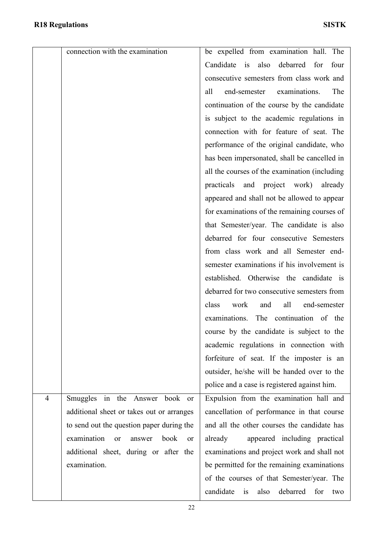|                | connection with the examination                      | be expelled from examination hall. The            |
|----------------|------------------------------------------------------|---------------------------------------------------|
|                |                                                      | Candidate is<br>also<br>debarred<br>for<br>four   |
|                |                                                      | consecutive semesters from class work and         |
|                |                                                      | examinations.<br>The<br>end-semester<br>all       |
|                |                                                      | continuation of the course by the candidate       |
|                |                                                      | is subject to the academic regulations in         |
|                |                                                      | connection with for feature of seat. The          |
|                |                                                      | performance of the original candidate, who        |
|                |                                                      | has been impersonated, shall be cancelled in      |
|                |                                                      | all the courses of the examination (including     |
|                |                                                      | practicals and project work) already              |
|                |                                                      | appeared and shall not be allowed to appear       |
|                |                                                      | for examinations of the remaining courses of      |
|                |                                                      | that Semester/year. The candidate is also         |
|                |                                                      | debarred for four consecutive Semesters           |
|                |                                                      | from class work and all Semester end-             |
|                |                                                      | semester examinations if his involvement is       |
|                |                                                      | established. Otherwise the candidate is           |
|                |                                                      | debarred for two consecutive semesters from       |
|                |                                                      | all<br>end-semester<br>class<br>work<br>and       |
|                |                                                      | examinations. The continuation of the             |
|                |                                                      | course by the candidate is subject to the         |
|                |                                                      | academic regulations in connection with           |
|                |                                                      | forfeiture of seat. If the imposter is an         |
|                |                                                      | outsider, he/she will be handed over to the       |
|                |                                                      | police and a case is registered against him.      |
| $\overline{4}$ | Smuggles<br>in the Answer<br>book or                 | Expulsion from the examination hall and           |
|                | additional sheet or takes out or arranges            | cancellation of performance in that course        |
|                | to send out the question paper during the            | and all the other courses the candidate has       |
|                | examination<br>book<br>or<br>answer<br><sub>or</sub> | appeared including practical<br>already           |
|                | additional sheet, during or after the                | examinations and project work and shall not       |
|                | examination.                                         | be permitted for the remaining examinations       |
|                |                                                      | of the courses of that Semester/year. The         |
|                |                                                      | candidate<br>debarred<br>is<br>also<br>for<br>two |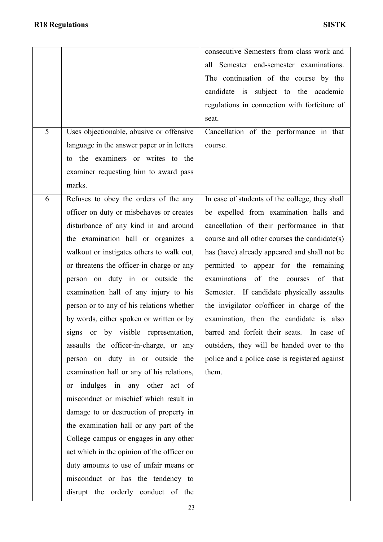| 5 | Uses objectionable, abusive or offensive                                          | consecutive Semesters from class work and<br>all Semester end-semester examinations.<br>The continuation of the course by the<br>candidate is subject to the academic<br>regulations in connection with forfeiture of<br>seat.<br>Cancellation of the performance in that |
|---|-----------------------------------------------------------------------------------|---------------------------------------------------------------------------------------------------------------------------------------------------------------------------------------------------------------------------------------------------------------------------|
|   | language in the answer paper or in letters                                        | course.                                                                                                                                                                                                                                                                   |
|   | to the examiners or writes to the                                                 |                                                                                                                                                                                                                                                                           |
|   | examiner requesting him to award pass                                             |                                                                                                                                                                                                                                                                           |
|   | marks.                                                                            |                                                                                                                                                                                                                                                                           |
| 6 | Refuses to obey the orders of the any<br>officer on duty or misbehaves or creates | In case of students of the college, they shall<br>be expelled from examination halls and                                                                                                                                                                                  |
|   | disturbance of any kind in and around                                             | cancellation of their performance in that                                                                                                                                                                                                                                 |
|   | the examination hall or organizes a                                               | course and all other courses the candidate(s)                                                                                                                                                                                                                             |
|   | walkout or instigates others to walk out,                                         | has (have) already appeared and shall not be                                                                                                                                                                                                                              |
|   | or threatens the officer-in charge or any                                         | permitted to appear for the remaining                                                                                                                                                                                                                                     |
|   | person on duty in or outside the                                                  | examinations<br>of the courses of<br>that                                                                                                                                                                                                                                 |
|   | examination hall of any injury to his                                             | Semester. If candidate physically assaults                                                                                                                                                                                                                                |
|   | person or to any of his relations whether                                         | the invigilator or/officer in charge of the                                                                                                                                                                                                                               |
|   | by words, either spoken or written or by                                          | examination, then the candidate is also                                                                                                                                                                                                                                   |
|   | signs or by visible representation,                                               | barred and forfeit their seats. In case of                                                                                                                                                                                                                                |
|   | assaults the officer-in-charge, or any                                            | outsiders, they will be handed over to the                                                                                                                                                                                                                                |
|   | person on duty in or outside the                                                  | police and a police case is registered against<br>them.                                                                                                                                                                                                                   |
|   | examination hall or any of his relations,<br>indulges in any other act of<br>or   |                                                                                                                                                                                                                                                                           |
|   | misconduct or mischief which result in                                            |                                                                                                                                                                                                                                                                           |
|   | damage to or destruction of property in                                           |                                                                                                                                                                                                                                                                           |
|   | the examination hall or any part of the                                           |                                                                                                                                                                                                                                                                           |
|   | College campus or engages in any other                                            |                                                                                                                                                                                                                                                                           |
|   | act which in the opinion of the officer on                                        |                                                                                                                                                                                                                                                                           |
|   | duty amounts to use of unfair means or                                            |                                                                                                                                                                                                                                                                           |
|   | misconduct or has the tendency to                                                 |                                                                                                                                                                                                                                                                           |
|   | disrupt the orderly conduct of the                                                |                                                                                                                                                                                                                                                                           |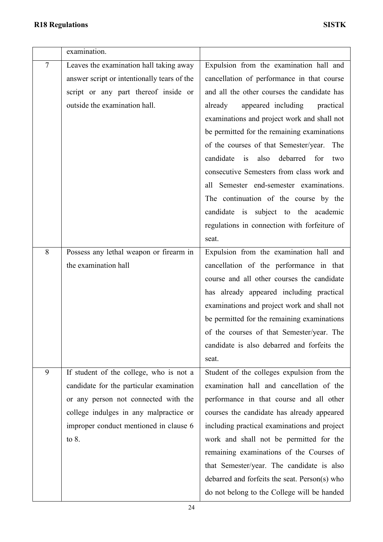|                | examination.                                                                                                                                                                                                               |                                                                                                                                                                                                                                                                                                                                                                                                                                                                      |
|----------------|----------------------------------------------------------------------------------------------------------------------------------------------------------------------------------------------------------------------------|----------------------------------------------------------------------------------------------------------------------------------------------------------------------------------------------------------------------------------------------------------------------------------------------------------------------------------------------------------------------------------------------------------------------------------------------------------------------|
| $\overline{7}$ | Leaves the examination hall taking away<br>answer script or intentionally tears of the<br>script or any part thereof inside or<br>outside the examination hall.                                                            | Expulsion from the examination hall and<br>cancellation of performance in that course<br>and all the other courses the candidate has<br>appeared including<br>already<br>practical<br>examinations and project work and shall not<br>be permitted for the remaining examinations<br>of the courses of that Semester/year.<br>The<br>candidate is<br>also debarred for<br>two<br>consecutive Semesters from class work and                                            |
|                |                                                                                                                                                                                                                            | all Semester end-semester examinations.<br>The continuation of the course by the<br>candidate is subject to the academic<br>regulations in connection with forfeiture of<br>seat.                                                                                                                                                                                                                                                                                    |
| 8              | Possess any lethal weapon or firearm in<br>the examination hall                                                                                                                                                            | Expulsion from the examination hall and<br>cancellation of the performance in that<br>course and all other courses the candidate<br>has already appeared including practical<br>examinations and project work and shall not<br>be permitted for the remaining examinations<br>of the courses of that Semester/year. The<br>candidate is also debarred and forfeits the<br>seat.                                                                                      |
| 9              | If student of the college, who is not a<br>candidate for the particular examination<br>or any person not connected with the<br>college indulges in any malpractice or<br>improper conduct mentioned in clause 6<br>to $8.$ | Student of the colleges expulsion from the<br>examination hall and cancellation of the<br>performance in that course and all other<br>courses the candidate has already appeared<br>including practical examinations and project<br>work and shall not be permitted for the<br>remaining examinations of the Courses of<br>that Semester/year. The candidate is also<br>debarred and forfeits the seat. Person(s) who<br>do not belong to the College will be handed |